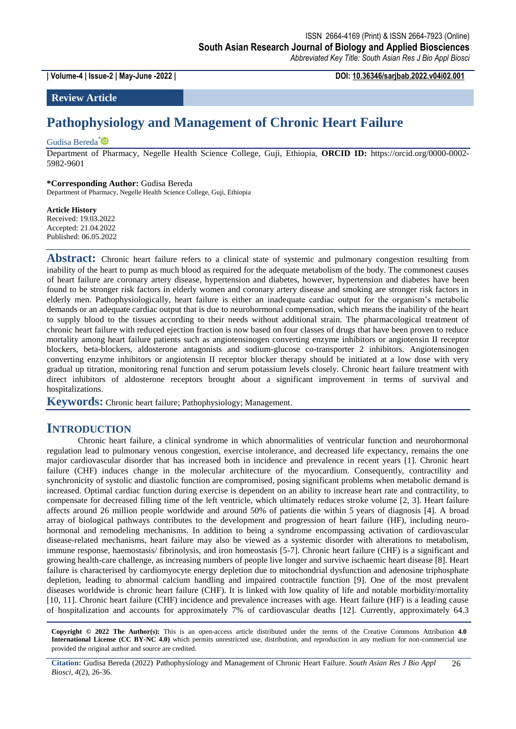**| Volume-4 | Issue-2 | May-June -2022 | DOI: 10.36346/sarjbab.2022.v04i02.001**

# **Review Article**

# **Pathophysiology and Management of Chronic Heart Failure**

### Gudisa Bereda<sup>[\\*](https://orcid.org/0000-0002-5982-9601)</sup>

Department of Pharmacy, Negelle Health Science College, Guji, Ethiopia, **ORCID ID:** https://orcid.org/0000-0002- 5982-9601

#### **\*Corresponding Author:** Gudisa Bereda

Department of Pharmacy, Negelle Health Science College, Guji, Ethiopia

#### **Article History**

Received: 19.03.2022 Accepted: 21.04.2022 Published: 06.05.2022

Abstract: Chronic heart failure refers to a clinical state of systemic and pulmonary congestion resulting from inability of the heart to pump as much blood as required for the adequate metabolism of the body. The commonest causes of heart failure are coronary artery disease, hypertension and diabetes, however, hypertension and diabetes have been found to be stronger risk factors in elderly women and coronary artery disease and smoking are stronger risk factors in elderly men. Pathophysiologically, heart failure is either an inadequate cardiac output for the organism's metabolic demands or an adequate cardiac output that is due to neurohormonal compensation, which means the inability of the heart to supply blood to the tissues according to their needs without additional strain. The pharmacological treatment of chronic heart failure with reduced ejection fraction is now based on four classes of drugs that have been proven to reduce mortality among heart failure patients such as angiotensinogen converting enzyme inhibitors or angiotensin II receptor blockers, beta-blockers, aldosterone antagonists and sodium-glucose co-transporter 2 inhibitors. Angiotensinogen converting enzyme inhibitors or angiotensin II receptor blocker therapy should be initiated at a low dose with very gradual up titration, monitoring renal function and serum potassium levels closely. Chronic heart failure treatment with direct inhibitors of aldosterone receptors brought about a significant improvement in terms of survival and hospitalizations.

**Keywords:** Chronic heart failure; Pathophysiology; Management.

# **INTRODUCTION**

Chronic heart failure, a clinical syndrome in which abnormalities of ventricular function and neurohormonal regulation lead to pulmonary venous congestion, exercise intolerance, and decreased life expectancy, remains the one major cardiovascular disorder that has increased both in incidence and prevalence in recent years [1]. Chronic heart failure (CHF) induces change in the molecular architecture of the myocardium. Consequently, contractility and synchronicity of systolic and diastolic function are compromised, posing significant problems when metabolic demand is increased. Optimal cardiac function during exercise is dependent on an ability to increase heart rate and contractility, to compensate for decreased filling time of the left ventricle, which ultimately reduces stroke volume [2, 3]. Heart failure affects around 26 million people worldwide and around 50% of patients die within 5 years of diagnosis [4]. A broad array of biological pathways contributes to the development and progression of heart failure (HF), including neurohormonal and remodeling mechanisms. In addition to being a syndrome encompassing activation of cardiovascular disease-related mechanisms, heart failure may also be viewed as a systemic disorder with alterations to metabolism, immune response, haemostasis/ fibrinolysis, and iron homeostasis [5-7]. Chronic heart failure (CHF) is a significant and growing health-care challenge, as increasing numbers of people live longer and survive ischaemic heart disease [8]. Heart failure is characterised by cardiomyocyte energy depletion due to mitochondrial dysfunction and adenosine triphosphate depletion, leading to abnormal calcium handling and impaired contractile function [9]. One of the most prevalent diseases worldwide is chronic heart failure (CHF). It is linked with low quality of life and notable morbidity/mortality [10, 11]. Chronic heart failure (CHF) incidence and prevalence increases with age. Heart failure (HF) is a leading cause of hospitalization and accounts for approximately 7% of cardiovascular deaths [12]. Currently, approximately 64.3

**Copyright © 2022 The Author(s):** This is an open-access article distributed under the terms of the Creative Commons Attribution **4.0 International License (CC BY-NC 4.0)** which permits unrestricted use, distribution, and reproduction in any medium for non-commercial use provided the original author and source are credited.

**Citation:** Gudisa Bereda (2022) Pathophysiology and Management of Chronic Heart Failure. *South Asian Res J Bio Appl Biosci, 4*(2), 26-36. 26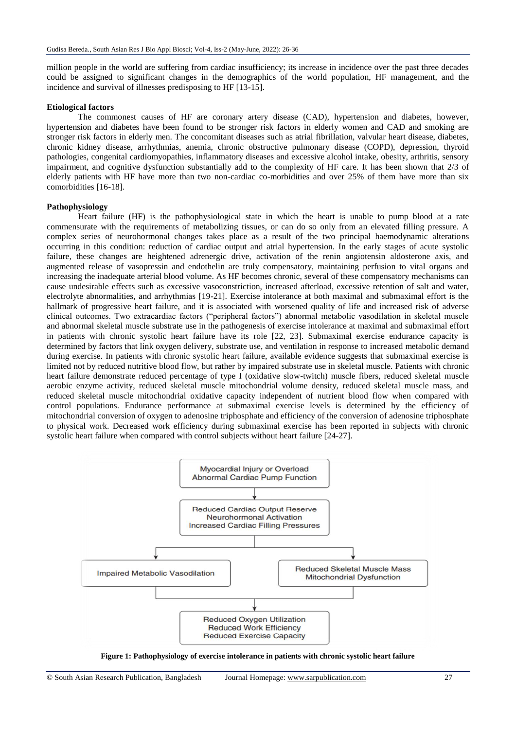million people in the world are suffering from cardiac insufficiency; its increase in incidence over the past three decades could be assigned to significant changes in the demographics of the world population, HF management, and the incidence and survival of illnesses predisposing to HF [13-15].

### **Etiological factors**

The commonest causes of HF are coronary artery disease (CAD), hypertension and diabetes, however, hypertension and diabetes have been found to be stronger risk factors in elderly women and CAD and smoking are stronger risk factors in elderly men. The concomitant diseases such as atrial fibrillation, valvular heart disease, diabetes, chronic kidney disease, arrhythmias, anemia, chronic obstructive pulmonary disease (COPD), depression, thyroid pathologies, congenital cardiomyopathies, inflammatory diseases and excessive alcohol intake, obesity, arthritis, sensory impairment, and cognitive dysfunction substantially add to the complexity of HF care. It has been shown that 2/3 of elderly patients with HF have more than two non-cardiac co-morbidities and over 25% of them have more than six comorbidities [16-18].

# **Pathophysiology**

Heart failure (HF) is the pathophysiological state in which the heart is unable to pump blood at a rate commensurate with the requirements of metabolizing tissues, or can do so only from an elevated filling pressure. A complex series of neurohormonal changes takes place as a result of the two principal haemodynamic alterations occurring in this condition: reduction of cardiac output and atrial hypertension. In the early stages of acute systolic failure, these changes are heightened adrenergic drive, activation of the renin angiotensin aldosterone axis, and augmented release of vasopressin and endothelin are truly compensatory, maintaining perfusion to vital organs and increasing the inadequate arterial blood volume. As HF becomes chronic, several of these compensatory mechanisms can cause undesirable effects such as excessive vasoconstriction, increased afterload, excessive retention of salt and water, electrolyte abnormalities, and arrhythmias [19-21]. Exercise intolerance at both maximal and submaximal effort is the hallmark of progressive heart failure, and it is associated with worsened quality of life and increased risk of adverse clinical outcomes. Two extracardiac factors ("peripheral factors") abnormal metabolic vasodilation in skeletal muscle and abnormal skeletal muscle substrate use in the pathogenesis of exercise intolerance at maximal and submaximal effort in patients with chronic systolic heart failure have its role [22, 23]. Submaximal exercise endurance capacity is determined by factors that link oxygen delivery, substrate use, and ventilation in response to increased metabolic demand during exercise. In patients with chronic systolic heart failure, available evidence suggests that submaximal exercise is limited not by reduced nutritive blood flow, but rather by impaired substrate use in skeletal muscle. Patients with chronic heart failure demonstrate reduced percentage of type I (oxidative slow-twitch) muscle fibers, reduced skeletal muscle aerobic enzyme activity, reduced skeletal muscle mitochondrial volume density, reduced skeletal muscle mass, and reduced skeletal muscle mitochondrial oxidative capacity independent of nutrient blood flow when compared with control populations. Endurance performance at submaximal exercise levels is determined by the efficiency of mitochondrial conversion of oxygen to adenosine triphosphate and efficiency of the conversion of adenosine triphosphate to physical work. Decreased work efficiency during submaximal exercise has been reported in subjects with chronic systolic heart failure when compared with control subjects without heart failure [24-27].



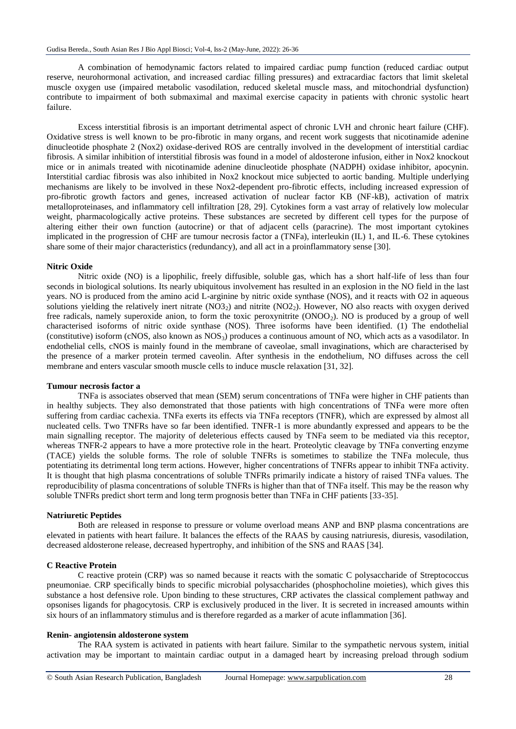A combination of hemodynamic factors related to impaired cardiac pump function (reduced cardiac output reserve, neurohormonal activation, and increased cardiac filling pressures) and extracardiac factors that limit skeletal muscle oxygen use (impaired metabolic vasodilation, reduced skeletal muscle mass, and mitochondrial dysfunction) contribute to impairment of both submaximal and maximal exercise capacity in patients with chronic systolic heart failure.

Excess interstitial fibrosis is an important detrimental aspect of chronic LVH and chronic heart failure (CHF). Oxidative stress is well known to be pro-fibrotic in many organs, and recent work suggests that nicotinamide adenine dinucleotide phosphate 2 (Nox2) oxidase-derived ROS are centrally involved in the development of interstitial cardiac fibrosis. A similar inhibition of interstitial fibrosis was found in a model of aldosterone infusion, either in Nox2 knockout mice or in animals treated with nicotinamide adenine dinucleotide phosphate (NADPH) oxidase inhibitor, apocynin. Interstitial cardiac fibrosis was also inhibited in Nox2 knockout mice subjected to aortic banding. Multiple underlying mechanisms are likely to be involved in these Nox2-dependent pro-fibrotic effects, including increased expression of pro-fibrotic growth factors and genes, increased activation of nuclear factor KB (NF-kB), activation of matrix metalloproteinases, and inflammatory cell infiltration [28, 29]. Cytokines form a vast array of relatively low molecular weight, pharmacologically active proteins. These substances are secreted by different cell types for the purpose of altering either their own function (autocrine) or that of adjacent cells (paracrine). The most important cytokines implicated in the progression of CHF are tumour necrosis factor a (TNFa), interleukin (IL) 1, and IL-6. These cytokines share some of their major characteristics (redundancy), and all act in a proinflammatory sense [30].

#### **Nitric Oxide**

Nitric oxide (NO) is a lipophilic, freely diffusible, soluble gas, which has a short half-life of less than four seconds in biological solutions. Its nearly ubiquitous involvement has resulted in an explosion in the NO field in the last years. NO is produced from the amino acid L-arginine by nitric oxide synthase (NOS), and it reacts with O2 in aqueous solutions yielding the relatively inert nitrate  $(NO3<sub>2</sub>)$  and nitrite  $(NO2<sub>2</sub>)$ . However, NO also reacts with oxygen derived free radicals, namely superoxide anion, to form the toxic peroxynitrite (ONOO<sub>2</sub>). NO is produced by a group of well characterised isoforms of nitric oxide synthase (NOS). Three isoforms have been identified. (1) The endothelial (constitutive) isoform (cNOS, also known as NOS<sub>3</sub>) produces a continuous amount of NO, which acts as a vasodilator. In endothelial cells, cNOS is mainly found in the membrane of caveolae, small invaginations, which are characterised by the presence of a marker protein termed caveolin. After synthesis in the endothelium, NO diffuses across the cell membrane and enters vascular smooth muscle cells to induce muscle relaxation [31, 32].

#### **Tumour necrosis factor a**

TNFa is associates observed that mean (SEM) serum concentrations of TNFa were higher in CHF patients than in healthy subjects. They also demonstrated that those patients with high concentrations of TNFa were more often suffering from cardiac cachexia. TNFa exerts its effects via TNFa receptors (TNFR), which are expressed by almost all nucleated cells. Two TNFRs have so far been identified. TNFR-1 is more abundantly expressed and appears to be the main signalling receptor. The majority of deleterious effects caused by TNFa seem to be mediated via this receptor, whereas TNFR-2 appears to have a more protective role in the heart. Proteolytic cleavage by TNFa converting enzyme (TACE) yields the soluble forms. The role of soluble TNFRs is sometimes to stabilize the TNFa molecule, thus potentiating its detrimental long term actions. However, higher concentrations of TNFRs appear to inhibit TNFa activity. It is thought that high plasma concentrations of soluble TNFRs primarily indicate a history of raised TNFa values. The reproducibility of plasma concentrations of soluble TNFRs is higher than that of TNFa itself. This may be the reason why soluble TNFRs predict short term and long term prognosis better than TNFa in CHF patients [33-35].

### **Natriuretic Peptides**

Both are released in response to pressure or volume overload means ANP and BNP plasma concentrations are elevated in patients with heart failure. It balances the effects of the RAAS by causing natriuresis, diuresis, vasodilation, decreased aldosterone release, decreased hypertrophy, and inhibition of the SNS and RAAS [34].

#### **C Reactive Protein**

C reactive protein (CRP) was so named because it reacts with the somatic C polysaccharide of Streptococcus pneumoniae. CRP specifically binds to specific microbial polysaccharides (phosphocholine moieties), which gives this substance a host defensive role. Upon binding to these structures, CRP activates the classical complement pathway and opsonises ligands for phagocytosis. CRP is exclusively produced in the liver. It is secreted in increased amounts within six hours of an inflammatory stimulus and is therefore regarded as a marker of acute inflammation [36].

#### **Renin- angiotensin aldosterone system**

The RAA system is activated in patients with heart failure. Similar to the sympathetic nervous system, initial activation may be important to maintain cardiac output in a damaged heart by increasing preload through sodium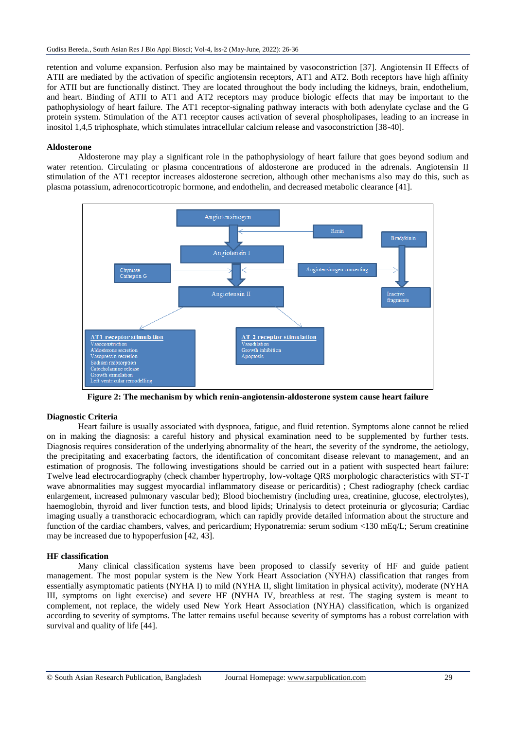retention and volume expansion. Perfusion also may be maintained by vasoconstriction [37]. Angiotensin II Effects of ATII are mediated by the activation of specific angiotensin receptors, AT1 and AT2. Both receptors have high affinity for ATII but are functionally distinct. They are located throughout the body including the kidneys, brain, endothelium, and heart. Binding of ATII to AT1 and AT2 receptors may produce biologic effects that may be important to the pathophysiology of heart failure. The AT1 receptor-signaling pathway interacts with both adenylate cyclase and the G protein system. Stimulation of the AT1 receptor causes activation of several phospholipases, leading to an increase in inositol 1,4,5 triphosphate, which stimulates intracellular calcium release and vasoconstriction [38-40].

### **Aldosterone**

Aldosterone may play a significant role in the pathophysiology of heart failure that goes beyond sodium and water retention. Circulating or plasma concentrations of aldosterone are produced in the adrenals. Angiotensin II stimulation of the AT1 receptor increases aldosterone secretion, although other mechanisms also may do this, such as plasma potassium, adrenocorticotropic hormone, and endothelin, and decreased metabolic clearance [41].



**Figure 2: The mechanism by which renin-angiotensin-aldosterone system cause heart failure**

# **Diagnostic Criteria**

Heart failure is usually associated with dyspnoea, fatigue, and fluid retention. Symptoms alone cannot be relied on in making the diagnosis: a careful history and physical examination need to be supplemented by further tests. Diagnosis requires consideration of the underlying abnormality of the heart, the severity of the syndrome, the aetiology, the precipitating and exacerbating factors, the identification of concomitant disease relevant to management, and an estimation of prognosis. The following investigations should be carried out in a patient with suspected heart failure: Twelve lead electrocardiography (check chamber hypertrophy, low-voltage QRS morphologic characteristics with ST-T wave abnormalities may suggest myocardial inflammatory disease or pericarditis) ; Chest radiography (check cardiac enlargement, increased pulmonary vascular bed); Blood biochemistry (including urea, creatinine, glucose, electrolytes), haemoglobin, thyroid and liver function tests, and blood lipids; Urinalysis to detect proteinuria or glycosuria; Cardiac imaging usually a transthoracic echocardiogram, which can rapidly provide detailed information about the structure and function of the cardiac chambers, valves, and pericardium; Hyponatremia: serum sodium <130 mEq/L; Serum creatinine may be increased due to hypoperfusion [42, 43].

# **HF classification**

Many clinical classification systems have been proposed to classify severity of HF and guide patient management. The most popular system is the New York Heart Association (NYHA) classification that ranges from essentially asymptomatic patients (NYHA I) to mild (NYHA II, slight limitation in physical activity), moderate (NYHA III, symptoms on light exercise) and severe HF (NYHA IV, breathless at rest. The staging system is meant to complement, not replace, the widely used New York Heart Association (NYHA) classification, which is organized according to severity of symptoms. The latter remains useful because severity of symptoms has a robust correlation with survival and quality of life [44].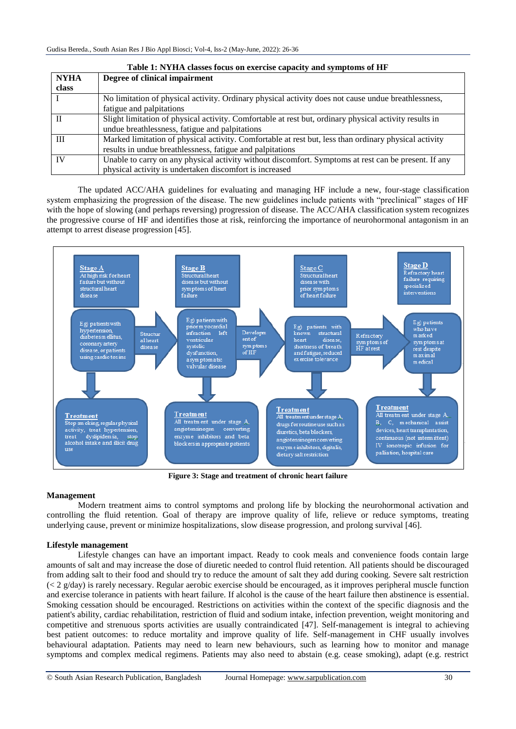| Table 1: NYHA classes focus on exercise capacity and symptoms of HF |                                                                                                        |
|---------------------------------------------------------------------|--------------------------------------------------------------------------------------------------------|
| <b>NYHA</b>                                                         | Degree of clinical impairment                                                                          |
| class                                                               |                                                                                                        |
|                                                                     | No limitation of physical activity. Ordinary physical activity does not cause undue breathlessness,    |
|                                                                     | fatigue and palpitations                                                                               |
|                                                                     | Slight limitation of physical activity. Comfortable at rest but, ordinary physical activity results in |
|                                                                     | undue breathlessness, fatigue and palpitations                                                         |
| Ш                                                                   | Marked limitation of physical activity. Comfortable at rest but, less than ordinary physical activity  |
|                                                                     | results in undue breathlessness, fatigue and palpitations                                              |
| <b>IV</b>                                                           | Unable to carry on any physical activity without discomfort. Symptoms at rest can be present. If any   |
|                                                                     | physical activity is undertaken discomfort is increased                                                |

The updated ACC/AHA guidelines for evaluating and managing HF include a new, four-stage classification system emphasizing the progression of the disease. The new guidelines include patients with "preclinical" stages of HF with the hope of slowing (and perhaps reversing) progression of disease. The ACC/AHA classification system recognizes the progressive course of HF and identifies those at risk, reinforcing the importance of neurohormonal antagonism in an attempt to arrest disease progression [45].



**Figure 3: Stage and treatment of chronic heart failure**

# **Management**

Modern treatment aims to control symptoms and prolong life by blocking the neurohormonal activation and controlling the fluid retention. Goal of therapy are improve quality of life, relieve or reduce symptoms, treating underlying cause, prevent or minimize hospitalizations, slow disease progression, and prolong survival [46].

# **Lifestyle management**

Lifestyle changes can have an important impact. Ready to cook meals and convenience foods contain large amounts of salt and may increase the dose of diuretic needed to control fluid retention. All patients should be discouraged from adding salt to their food and should try to reduce the amount of salt they add during cooking. Severe salt restriction  $\ll$  2 g/day) is rarely necessary. Regular aerobic exercise should be encouraged, as it improves peripheral muscle function and exercise tolerance in patients with heart failure. If alcohol is the cause of the heart failure then abstinence is essential. Smoking cessation should be encouraged. Restrictions on activities within the context of the specific diagnosis and the patient's ability, cardiac rehabilitation, restriction of fluid and sodium intake, infection prevention, weight monitoring and competitive and strenuous sports activities are usually contraindicated [47]. Self-management is integral to achieving best patient outcomes: to reduce mortality and improve quality of life. Self-management in CHF usually involves behavioural adaptation. Patients may need to learn new behaviours, such as learning how to monitor and manage symptoms and complex medical regimens. Patients may also need to abstain (e.g. cease smoking), adapt (e.g. restrict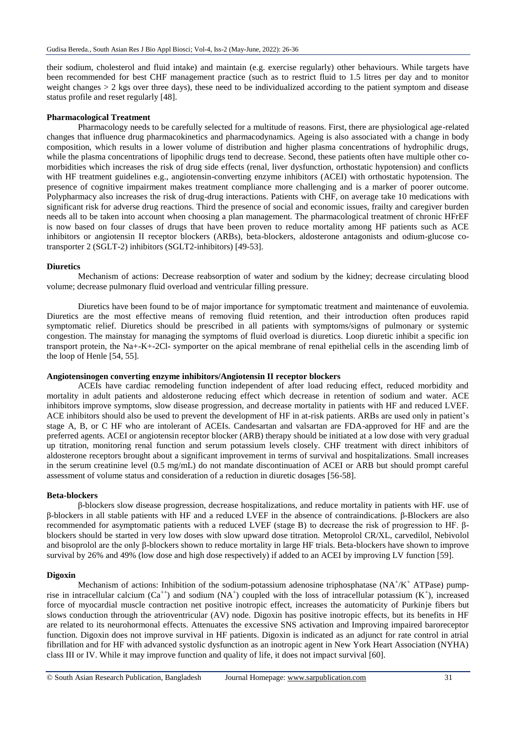their sodium, cholesterol and fluid intake) and maintain (e.g. exercise regularly) other behaviours. While targets have been recommended for best CHF management practice (such as to restrict fluid to 1.5 litres per day and to monitor weight changes  $> 2$  kgs over three days), these need to be individualized according to the patient symptom and disease status profile and reset regularly [48].

#### **Pharmacological Treatment**

Pharmacology needs to be carefully selected for a multitude of reasons. First, there are physiological age-related changes that influence drug pharmacokinetics and pharmacodynamics. Ageing is also associated with a change in body composition, which results in a lower volume of distribution and higher plasma concentrations of hydrophilic drugs, while the plasma concentrations of lipophilic drugs tend to decrease. Second, these patients often have multiple other comorbidities which increases the risk of drug side effects (renal, liver dysfunction, orthostatic hypotension) and conflicts with HF treatment guidelines e.g., angiotensin-converting enzyme inhibitors (ACEI) with orthostatic hypotension. The presence of cognitive impairment makes treatment compliance more challenging and is a marker of poorer outcome. Polypharmacy also increases the risk of drug-drug interactions. Patients with CHF, on average take 10 medications with significant risk for adverse drug reactions. Third the presence of social and economic issues, frailty and caregiver burden needs all to be taken into account when choosing a plan management. The pharmacological treatment of chronic HFrEF is now based on four classes of drugs that have been proven to reduce mortality among HF patients such as ACE inhibitors or angiotensin II receptor blockers (ARBs), beta-blockers, aldosterone antagonists and odium-glucose cotransporter 2 (SGLT-2) inhibitors (SGLT2-inhibitors) [49-53].

#### **Diuretics**

Mechanism of actions: Decrease reabsorption of water and sodium by the kidney; decrease circulating blood volume; decrease pulmonary fluid overload and ventricular filling pressure.

Diuretics have been found to be of major importance for symptomatic treatment and maintenance of euvolemia. Diuretics are the most effective means of removing fluid retention, and their introduction often produces rapid symptomatic relief. Diuretics should be prescribed in all patients with symptoms/signs of pulmonary or systemic congestion. The mainstay for managing the symptoms of fluid overload is diuretics. Loop diuretic inhibit a specific ion transport protein, the Na+-K+-2Cl- symporter on the apical membrane of renal epithelial cells in the ascending limb of the loop of Henle [54, 55].

### **Angiotensinogen converting enzyme inhibitors/Angiotensin II receptor blockers**

ACEIs have cardiac remodeling function independent of after load reducing effect, reduced morbidity and mortality in adult patients and aldosterone reducing effect which decrease in retention of sodium and water. ACE inhibitors improve symptoms, slow disease progression, and decrease mortality in patients with HF and reduced LVEF. ACE inhibitors should also be used to prevent the development of HF in at-risk patients. ARBs are used only in patient's stage A, B, or C HF who are intolerant of ACEIs. Candesartan and valsartan are FDA-approved for HF and are the preferred agents. ACEI or angiotensin receptor blocker (ARB) therapy should be initiated at a low dose with very gradual up titration, monitoring renal function and serum potassium levels closely. CHF treatment with direct inhibitors of aldosterone receptors brought about a significant improvement in terms of survival and hospitalizations. Small increases in the serum creatinine level (0.5 mg/mL) do not mandate discontinuation of ACEI or ARB but should prompt careful assessment of volume status and consideration of a reduction in diuretic dosages [56-58].

#### **Beta-blockers**

β-blockers slow disease progression, decrease hospitalizations, and reduce mortality in patients with HF. use of β-blockers in all stable patients with HF and a reduced LVEF in the absence of contraindications. β-Blockers are also recommended for asymptomatic patients with a reduced LVEF (stage B) to decrease the risk of progression to HF. βblockers should be started in very low doses with slow upward dose titration. Metoprolol CR/XL, carvedilol, Nebivolol and bisoprolol are the only β-blockers shown to reduce mortality in large HF trials. Beta-blockers have shown to improve survival by 26% and 49% (low dose and high dose respectively) if added to an ACEI by improving LV function [59].

#### **Digoxin**

Mechanism of actions: Inhibition of the sodium-potassium adenosine triphosphatase ( $NA^+ / K^+$  ATPase) pumprise in intracellular calcium  $(Ca^{++})$  and sodium  $(NA^+)$  coupled with the loss of intracellular potassium  $(K^+)$ , increased force of myocardial muscle contraction net positive inotropic effect, increases the automaticity of Purkinje fibers but slows conduction through the atrioventricular (AV) node. Digoxin has positive inotropic effects, but its benefits in HF are related to its neurohormonal effects. Attenuates the excessive SNS activation and Improving impaired baroreceptor function. Digoxin does not improve survival in HF patients. Digoxin is indicated as an adjunct for rate control in atrial fibrillation and for HF with advanced systolic dysfunction as an inotropic agent in New York Heart Association (NYHA) class III or IV. While it may improve function and quality of life, it does not impact survival [60].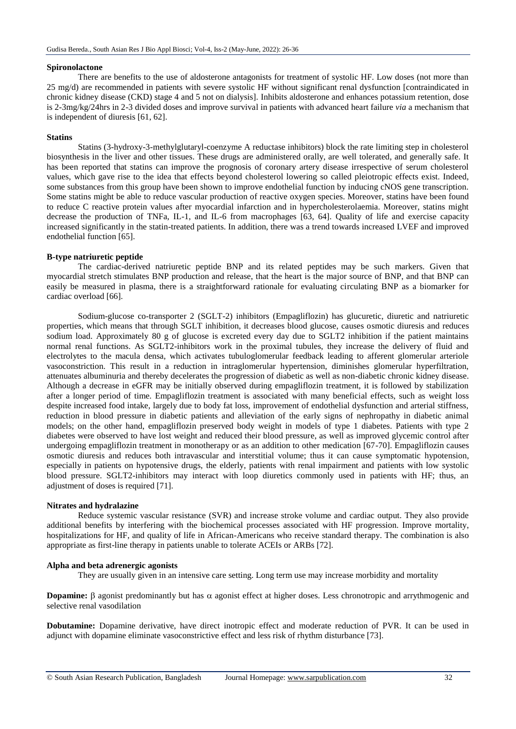#### **Spironolactone**

There are benefits to the use of aldosterone antagonists for treatment of systolic HF. Low doses (not more than 25 mg/d) are recommended in patients with severe systolic HF without significant renal dysfunction [contraindicated in chronic kidney disease (CKD) stage 4 and 5 not on dialysis]. Inhibits aldosterone and enhances potassium retention, dose is 2-3mg/kg/24hrs in 2-3 divided doses and improve survival in patients with advanced heart failure *via* a mechanism that is independent of diuresis [61, 62].

#### **Statins**

Statins (3-hydroxy-3-methylglutaryl-coenzyme A reductase inhibitors) block the rate limiting step in cholesterol biosynthesis in the liver and other tissues. These drugs are administered orally, are well tolerated, and generally safe. It has been reported that statins can improve the prognosis of coronary artery disease irrespective of serum cholesterol values, which gave rise to the idea that effects beyond cholesterol lowering so called pleiotropic effects exist. Indeed, some substances from this group have been shown to improve endothelial function by inducing cNOS gene transcription. Some statins might be able to reduce vascular production of reactive oxygen species. Moreover, statins have been found to reduce C reactive protein values after myocardial infarction and in hypercholesterolaemia. Moreover, statins might decrease the production of TNFa, IL-1, and IL-6 from macrophages [63, 64]. Quality of life and exercise capacity increased significantly in the statin-treated patients. In addition, there was a trend towards increased LVEF and improved endothelial function [65].

#### **B-type natriuretic peptide**

The cardiac-derived natriuretic peptide BNP and its related peptides may be such markers. Given that myocardial stretch stimulates BNP production and release, that the heart is the major source of BNP, and that BNP can easily be measured in plasma, there is a straightforward rationale for evaluating circulating BNP as a biomarker for cardiac overload [66].

Sodium-glucose co-transporter 2 (SGLT-2) inhibitors (Empagliflozin) has glucuretic, diuretic and natriuretic properties, which means that through SGLT inhibition, it decreases blood glucose, causes osmotic diuresis and reduces sodium load. Approximately 80 g of glucose is excreted every day due to SGLT2 inhibition if the patient maintains normal renal functions. As SGLT2-inhibitors work in the proximal tubules, they increase the delivery of fluid and electrolytes to the macula densa, which activates tubuloglomerular feedback leading to afferent glomerular arteriole vasoconstriction. This result in a reduction in intraglomerular hypertension, diminishes glomerular hyperfiltration, attenuates albuminuria and thereby decelerates the progression of diabetic as well as non-diabetic chronic kidney disease. Although a decrease in eGFR may be initially observed during empagliflozin treatment, it is followed by stabilization after a longer period of time. Empagliflozin treatment is associated with many beneficial effects, such as weight loss despite increased food intake, largely due to body fat loss, improvement of endothelial dysfunction and arterial stiffness, reduction in blood pressure in diabetic patients and alleviation of the early signs of nephropathy in diabetic animal models; on the other hand, empagliflozin preserved body weight in models of type 1 diabetes. Patients with type 2 diabetes were observed to have lost weight and reduced their blood pressure, as well as improved glycemic control after undergoing empagliflozin treatment in monotherapy or as an addition to other medication [67-70]. Empagliflozin causes osmotic diuresis and reduces both intravascular and interstitial volume; thus it can cause symptomatic hypotension, especially in patients on hypotensive drugs, the elderly, patients with renal impairment and patients with low systolic blood pressure. SGLT2-inhibitors may interact with loop diuretics commonly used in patients with HF; thus, an adjustment of doses is required [71].

### **Nitrates and hydralazine**

Reduce systemic vascular resistance (SVR) and increase stroke volume and cardiac output. They also provide additional benefits by interfering with the biochemical processes associated with HF progression. Improve mortality, hospitalizations for HF, and quality of life in African-Americans who receive standard therapy. The combination is also appropriate as first-line therapy in patients unable to tolerate ACEIs or ARBs [72].

#### **Alpha and beta adrenergic agonists**

They are usually given in an intensive care setting. Long term use may increase morbidity and mortality

**Dopamine:**  $\beta$  agonist predominantly but has  $\alpha$  agonist effect at higher doses. Less chronotropic and arrythmogenic and selective renal vasodilation

**Dobutamine:** Dopamine derivative, have direct inotropic effect and moderate reduction of PVR. It can be used in adjunct with dopamine eliminate vasoconstrictive effect and less risk of rhythm disturbance [73].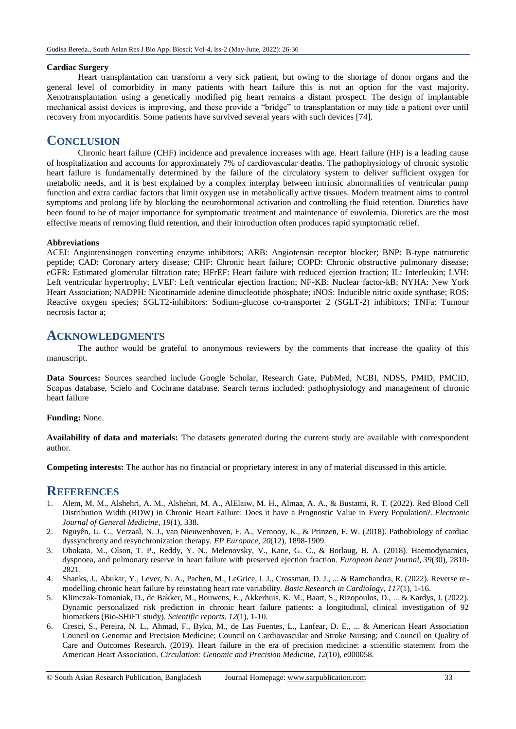#### **Cardiac Surgery**

Heart transplantation can transform a very sick patient, but owing to the shortage of donor organs and the general level of comorbidity in many patients with heart failure this is not an option for the vast majority. Xenotransplantation using a genetically modified pig heart remains a distant prospect. The design of implantable mechanical assist devices is improving, and these provide a "bridge" to transplantation or may tide a patient over until recovery from myocarditis. Some patients have survived several years with such devices [74].

# **CONCLUSION**

Chronic heart failure (CHF) incidence and prevalence increases with age. Heart failure (HF) is a leading cause of hospitalization and accounts for approximately 7% of cardiovascular deaths. The pathophysiology of chronic systolic heart failure is fundamentally determined by the failure of the circulatory system to deliver sufficient oxygen for metabolic needs, and it is best explained by a complex interplay between intrinsic abnormalities of ventricular pump function and extra cardiac factors that limit oxygen use in metabolically active tissues. Modern treatment aims to control symptoms and prolong life by blocking the neurohormonal activation and controlling the fluid retention. Diuretics have been found to be of major importance for symptomatic treatment and maintenance of euvolemia. Diuretics are the most effective means of removing fluid retention, and their introduction often produces rapid symptomatic relief.

#### **Abbreviations**

ACEI: Angiotensinogen converting enzyme inhibitors; ARB: Angiotensin receptor blocker; BNP: B-type natriuretic peptide; CAD: Coronary artery disease; CHF: Chronic heart failure; COPD: Chronic obstructive pulmonary disease; eGFR: Estimated glomerular filtration rate; HFrEF: Heart failure with reduced ejection fraction; IL: Interleukin; LVH: Left ventricular hypertrophy; LVEF: Left ventricular ejection fraction; NF-KB: Nuclear factor-kB; NYHA: New York Heart Association; NADPH: Nicotinamide adenine dinucleotide phosphate; iNOS: Inducible nitric oxide synthase; ROS: Reactive oxygen species; SGLT2-inhibitors: Sodium-glucose co-transporter 2 (SGLT-2) inhibitors; TNFa: Tumour necrosis factor a;

# **ACKNOWLEDGMENTS**

The author would be grateful to anonymous reviewers by the comments that increase the quality of this manuscript.

**Data Sources:** Sources searched include Google Scholar, Research Gate, PubMed, NCBI, NDSS, PMID, PMCID, Scopus database, Scielo and Cochrane database. Search terms included: pathophysiology and management of chronic heart failure

#### **Funding:** None.

**Availability of data and materials:** The datasets generated during the current study are available with correspondent author.

**Competing interests:** The author has no financial or proprietary interest in any of material discussed in this article.

# **REFERENCES**

- 1. Alem, M. M., Alshehri, A. M., Alshehri, M. A., AlElaiw, M. H., Almaa, A. A., & Bustami, R. T. (2022). Red Blood Cell Distribution Width (RDW) in Chronic Heart Failure: Does it have a Prognostic Value in Every Population?. *Electronic Journal of General Medicine*, *19*(1), 338.
- 2. Nguyên, U. C., Verzaal, N. J., van Nieuwenhoven, F. A., Vernooy, K., & Prinzen, F. W. (2018). Pathobiology of cardiac dyssynchrony and resynchronization therapy. *EP Europace*, *20*(12), 1898-1909.
- 3. Obokata, M., Olson, T. P., Reddy, Y. N., Melenovsky, V., Kane, G. C., & Borlaug, B. A. (2018). Haemodynamics, dyspnoea, and pulmonary reserve in heart failure with preserved ejection fraction. *European heart journal*, *39*(30), 2810- 2821.
- 4. Shanks, J., Abukar, Y., Lever, N. A., Pachen, M., LeGrice, I. J., Crossman, D. J., ... & Ramchandra, R. (2022). Reverse remodelling chronic heart failure by reinstating heart rate variability. *Basic Research in Cardiology*, *117*(1), 1-16.
- 5. Klimczak-Tomaniak, D., de Bakker, M., Bouwens, E., Akkerhuis, K. M., Baart, S., Rizopoulos, D., ... & Kardys, I. (2022). Dynamic personalized risk prediction in chronic heart failure patients: a longitudinal, clinical investigation of 92 biomarkers (Bio-SHiFT study). *Scientific reports*, *12*(1), 1-10.
- 6. Cresci, S., Pereira, N. L., Ahmad, F., Byku, M., de Las Fuentes, L., Lanfear, D. E., ... & American Heart Association Council on Genomic and Precision Medicine; Council on Cardiovascular and Stroke Nursing; and Council on Quality of Care and Outcomes Research. (2019). Heart failure in the era of precision medicine: a scientific statement from the American Heart Association. *Circulation: Genomic and Precision Medicine*, *12*(10), e000058.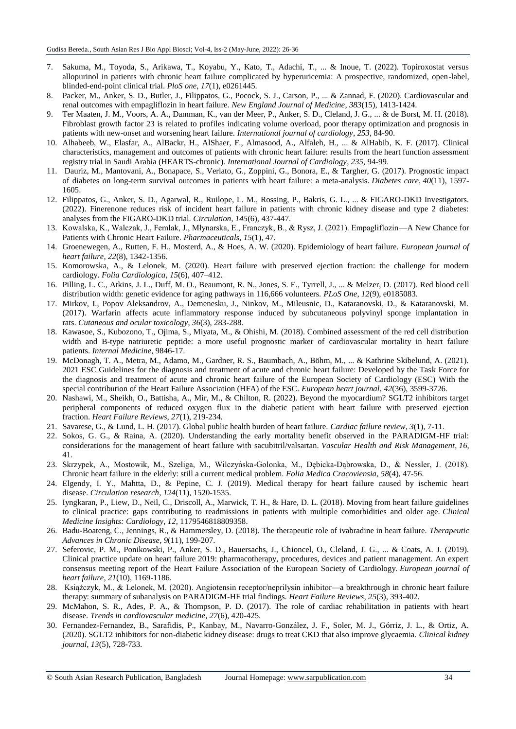- 7. Sakuma, M., Toyoda, S., Arikawa, T., Koyabu, Y., Kato, T., Adachi, T., ... & Inoue, T. (2022). Topiroxostat versus allopurinol in patients with chronic heart failure complicated by hyperuricemia: A prospective, randomized, open-label, blinded-end-point clinical trial. *PloS one*, *17*(1), e0261445.
- 8. Packer, M., Anker, S. D., Butler, J., Filippatos, G., Pocock, S. J., Carson, P., ... & Zannad, F. (2020). Cardiovascular and renal outcomes with empagliflozin in heart failure. *New England Journal of Medicine*, *383*(15), 1413-1424.
- 9. Ter Maaten, J. M., Voors, A. A., Damman, K., van der Meer, P., Anker, S. D., Cleland, J. G., ... & de Borst, M. H. (2018). Fibroblast growth factor 23 is related to profiles indicating volume overload, poor therapy optimization and prognosis in patients with new-onset and worsening heart failure. *International journal of cardiology*, *253*, 84-90.
- 10. Alhabeeb, W., Elasfar, A., AlBackr, H., AlShaer, F., Almasood, A., Alfaleh, H., ... & AlHabib, K. F. (2017). Clinical characteristics, management and outcomes of patients with chronic heart failure: results from the heart function assessment registry trial in Saudi Arabia (HEARTS-chronic). *International Journal of Cardiology*, *235*, 94-99.
- 11. Dauriz, M., Mantovani, A., Bonapace, S., Verlato, G., Zoppini, G., Bonora, E., & Targher, G. (2017). Prognostic impact of diabetes on long-term survival outcomes in patients with heart failure: a meta-analysis. *Diabetes care*, *40*(11), 1597- 1605.
- 12. Filippatos, G., Anker, S. D., Agarwal, R., Ruilope, L. M., Rossing, P., Bakris, G. L., ... & FIGARO-DKD Investigators. (2022). Finerenone reduces risk of incident heart failure in patients with chronic kidney disease and type 2 diabetes: analyses from the FIGARO-DKD trial. *Circulation*, *145*(6), 437-447.
- 13. Kowalska, K., Walczak, J., Femlak, J., Młynarska, E., Franczyk, B., & Rysz, J. (2021). Empagliflozin—A New Chance for Patients with Chronic Heart Failure. *Pharmaceuticals*, *15*(1), 47.
- 14. Groenewegen, A., Rutten, F. H., Mosterd, A., & Hoes, A. W. (2020). Epidemiology of heart failure. *European journal of heart failure*, *22*(8), 1342-1356.
- 15. Komorowska, A., & Lelonek, M. (2020). Heart failure with preserved ejection fraction: the challenge for modern cardiology. *Folia Cardiologica*, *15*(6), 407–412.
- 16. Pilling, L. C., Atkins, J. L., Duff, M. O., Beaumont, R. N., Jones, S. E., Tyrrell, J., ... & Melzer, D. (2017). Red blood cell distribution width: genetic evidence for aging pathways in 116,666 volunteers. *PLoS One*, *12*(9), e0185083.
- 17. Mirkov, I., Popov Aleksandrov, A., Demenesku, J., Ninkov, M., Mileusnic, D., Kataranovski, D., & Kataranovski, M. (2017). Warfarin affects acute inflammatory response induced by subcutaneous polyvinyl sponge implantation in rats. *Cutaneous and ocular toxicology*, *36*(3), 283-288.
- 18. Kawasoe, S., Kubozono, T., Ojima, S., Miyata, M., & Ohishi, M. (2018). Combined assessment of the red cell distribution width and B-type natriuretic peptide: a more useful prognostic marker of cardiovascular mortality in heart failure patients. *Internal Medicine*, 9846-17.
- 19. McDonagh, T. A., Metra, M., Adamo, M., Gardner, R. S., Baumbach, A., Böhm, M., ... & Kathrine Skibelund, A. (2021). 2021 ESC Guidelines for the diagnosis and treatment of acute and chronic heart failure: Developed by the Task Force for the diagnosis and treatment of acute and chronic heart failure of the European Society of Cardiology (ESC) With the special contribution of the Heart Failure Association (HFA) of the ESC. *European heart journal*, *42*(36), 3599-3726.
- 20. Nashawi, M., Sheikh, O., Battisha, A., Mir, M., & Chilton, R. (2022). Beyond the myocardium? SGLT2 inhibitors target peripheral components of reduced oxygen flux in the diabetic patient with heart failure with preserved ejection fraction. *Heart Failure Reviews*, *27*(1), 219-234.
- 21. Savarese, G., & Lund, L. H. (2017). Global public health burden of heart failure. *Cardiac failure review*, *3*(1), 7-11.
- 22. Sokos, G. G., & Raina, A. (2020). Understanding the early mortality benefit observed in the PARADIGM-HF trial: considerations for the management of heart failure with sacubitril/valsartan. *Vascular Health and Risk Management*, *16*, 41.
- 23. Skrzypek, A., Mostowik, M., Szeliga, M., Wilczyńska-Golonka, M., Dębicka-Dąbrowska, D., & Nessler, J. (2018). Chronic heart failure in the elderly: still a current medical problem. *Folia Medica Cracoviensia*, *58*(4), 47-56.
- 24. Elgendy, I. Y., Mahtta, D., & Pepine, C. J. (2019). Medical therapy for heart failure caused by ischemic heart disease. *Circulation research*, *124*(11), 1520-1535.
- 25. Iyngkaran, P., Liew, D., Neil, C., Driscoll, A., Marwick, T. H., & Hare, D. L. (2018). Moving from heart failure guidelines to clinical practice: gaps contributing to readmissions in patients with multiple comorbidities and older age. *Clinical Medicine Insights: Cardiology*, *12*, 1179546818809358.
- 26. Badu-Boateng, C., Jennings, R., & Hammersley, D. (2018). The therapeutic role of ivabradine in heart failure. *Therapeutic Advances in Chronic Disease*, *9*(11), 199-207.
- 27. Seferovic, P. M., Ponikowski, P., Anker, S. D., Bauersachs, J., Chioncel, O., Cleland, J. G., ... & Coats, A. J. (2019). Clinical practice update on heart failure 2019: pharmacotherapy, procedures, devices and patient management. An expert consensus meeting report of the Heart Failure Association of the European Society of Cardiology. *European journal of heart failure*, *21*(10), 1169-1186.
- 28. Książczyk, M., & Lelonek, M. (2020). Angiotensin receptor/neprilysin inhibitor—a breakthrough in chronic heart failure therapy: summary of subanalysis on PARADIGM-HF trial findings. *Heart Failure Reviews*, *25*(3), 393-402.
- 29. McMahon, S. R., Ades, P. A., & Thompson, P. D. (2017). The role of cardiac rehabilitation in patients with heart disease. *Trends in cardiovascular medicine*, *27*(6), 420-425.
- 30. Fernandez-Fernandez, B., Sarafidis, P., Kanbay, M., Navarro-González, J. F., Soler, M. J., Górriz, J. L., & Ortiz, A. (2020). SGLT2 inhibitors for non-diabetic kidney disease: drugs to treat CKD that also improve glycaemia. *Clinical kidney journal*, *13*(5), 728-733.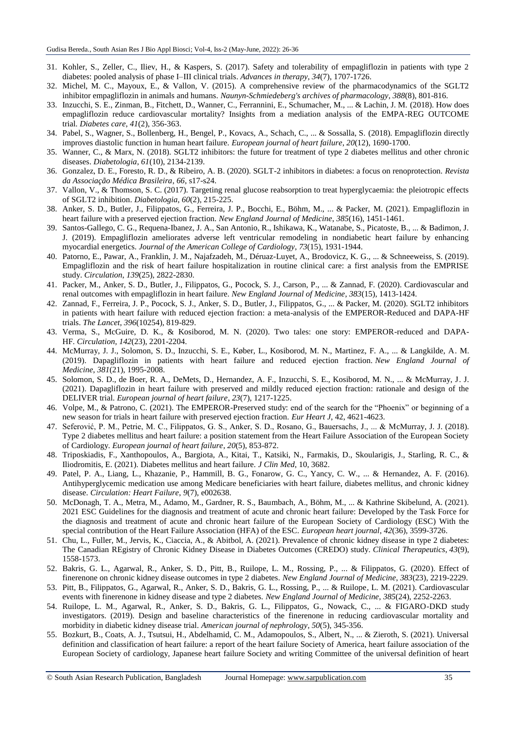- 31. Kohler, S., Zeller, C., Iliev, H., & Kaspers, S. (2017). Safety and tolerability of empagliflozin in patients with type 2 diabetes: pooled analysis of phase I–III clinical trials. *Advances in therapy*, *34*(7), 1707-1726.
- 32. Michel, M. C., Mayoux, E., & Vallon, V. (2015). A comprehensive review of the pharmacodynamics of the SGLT2 inhibitor empagliflozin in animals and humans. *Naunyn-Schmiedeberg's archives of pharmacology*, *388*(8), 801-816.
- 33. Inzucchi, S. E., Zinman, B., Fitchett, D., Wanner, C., Ferrannini, E., Schumacher, M., ... & Lachin, J. M. (2018). How does empagliflozin reduce cardiovascular mortality? Insights from a mediation analysis of the EMPA-REG OUTCOME trial. *Diabetes care*, *41*(2), 356-363.
- 34. Pabel, S., Wagner, S., Bollenberg, H., Bengel, P., Kovacs, A., Schach, C., ... & Sossalla, S. (2018). Empagliflozin directly improves diastolic function in human heart failure. *European journal of heart failure*, *20*(12), 1690-1700.
- 35. Wanner, C., & Marx, N. (2018). SGLT2 inhibitors: the future for treatment of type 2 diabetes mellitus and other chronic diseases. *Diabetologia*, *61*(10), 2134-2139.
- 36. Gonzalez, D. E., Foresto, R. D., & Ribeiro, A. B. (2020). SGLT-2 inhibitors in diabetes: a focus on renoprotection. *Revista da Associação Médica Brasileira*, *66*, s17-s24.
- 37. Vallon, V., & Thomson, S. C. (2017). Targeting renal glucose reabsorption to treat hyperglycaemia: the pleiotropic effects of SGLT2 inhibition. *Diabetologia*, *60*(2), 215-225.
- 38. Anker, S. D., Butler, J., Filippatos, G., Ferreira, J. P., Bocchi, E., Böhm, M., ... & Packer, M. (2021). Empagliflozin in heart failure with a preserved ejection fraction. *New England Journal of Medicine*, *385*(16), 1451-1461.
- 39. Santos-Gallego, C. G., Requena-Ibanez, J. A., San Antonio, R., Ishikawa, K., Watanabe, S., Picatoste, B., ... & Badimon, J. J. (2019). Empagliflozin ameliorates adverse left ventricular remodeling in nondiabetic heart failure by enhancing myocardial energetics. *Journal of the American College of Cardiology*, *73*(15), 1931-1944.
- 40. Patorno, E., Pawar, A., Franklin, J. M., Najafzadeh, M., Déruaz-Luyet, A., Brodovicz, K. G., ... & Schneeweiss, S. (2019). Empagliflozin and the risk of heart failure hospitalization in routine clinical care: a first analysis from the EMPRISE study. *Circulation*, *139*(25), 2822-2830.
- 41. Packer, M., Anker, S. D., Butler, J., Filippatos, G., Pocock, S. J., Carson, P., ... & Zannad, F. (2020). Cardiovascular and renal outcomes with empagliflozin in heart failure. *New England Journal of Medicine*, *383*(15), 1413-1424.
- 42. Zannad, F., Ferreira, J. P., Pocock, S. J., Anker, S. D., Butler, J., Filippatos, G., ... & Packer, M. (2020). SGLT2 inhibitors in patients with heart failure with reduced ejection fraction: a meta-analysis of the EMPEROR-Reduced and DAPA-HF trials. *The Lancet*, *396*(10254), 819-829.
- 43. Verma, S., McGuire, D. K., & Kosiborod, M. N. (2020). Two tales: one story: EMPEROR-reduced and DAPA-HF. *Circulation*, *142*(23), 2201-2204.
- 44. McMurray, J. J., Solomon, S. D., Inzucchi, S. E., Køber, L., Kosiborod, M. N., Martinez, F. A., ... & Langkilde, A. M. (2019). Dapagliflozin in patients with heart failure and reduced ejection fraction. *New England Journal of Medicine*, *381*(21), 1995-2008.
- 45. Solomon, S. D., de Boer, R. A., DeMets, D., Hernandez, A. F., Inzucchi, S. E., Kosiborod, M. N., ... & McMurray, J. J. (2021). Dapagliflozin in heart failure with preserved and mildly reduced ejection fraction: rationale and design of the DELIVER trial. *European journal of heart failure*, *23*(7), 1217-1225.
- 46. Volpe, M., & Patrono, C. (2021). The EMPEROR-Preserved study: end of the search for the "Phoenix" or beginning of a new season for trials in heart failure with preserved ejection fraction. *Eur Heart J*, 42, 4621-4623.
- 47. Seferović, P. M., Petrie, M. C., Filippatos, G. S., Anker, S. D., Rosano, G., Bauersachs, J., ... & McMurray, J. J. (2018). Type 2 diabetes mellitus and heart failure: a position statement from the Heart Failure Association of the European Society of Cardiology. *European journal of heart failure*, *20*(5), 853-872.
- 48. Triposkiadis, F., Xanthopoulos, A., Bargiota, A., Kitai, T., Katsiki, N., Farmakis, D., Skoularigis, J., Starling, R. C., & Iliodromitis, E. (2021). Diabetes mellitus and heart failure. *J Clin Med*, 10, 3682.
- 49. Patel, P. A., Liang, L., Khazanie, P., Hammill, B. G., Fonarow, G. C., Yancy, C. W., ... & Hernandez, A. F. (2016). Antihyperglycemic medication use among Medicare beneficiaries with heart failure, diabetes mellitus, and chronic kidney disease. *Circulation: Heart Failure*, *9*(7), e002638.
- 50. McDonagh, T. A., Metra, M., Adamo, M., Gardner, R. S., Baumbach, A., Böhm, M., ... & Kathrine Skibelund, A. (2021). 2021 ESC Guidelines for the diagnosis and treatment of acute and chronic heart failure: Developed by the Task Force for the diagnosis and treatment of acute and chronic heart failure of the European Society of Cardiology (ESC) With the special contribution of the Heart Failure Association (HFA) of the ESC. *European heart journal*, *42*(36), 3599-3726.
- 51. Chu, L., Fuller, M., Jervis, K., Ciaccia, A., & Abitbol, A. (2021). Prevalence of chronic kidney disease in type 2 diabetes: The Canadian REgistry of Chronic Kidney Disease in Diabetes Outcomes (CREDO) study. *Clinical Therapeutics*, *43*(9), 1558-1573.
- 52. Bakris, G. L., Agarwal, R., Anker, S. D., Pitt, B., Ruilope, L. M., Rossing, P., ... & Filippatos, G. (2020). Effect of finerenone on chronic kidney disease outcomes in type 2 diabetes. *New England Journal of Medicine*, *383*(23), 2219-2229.
- 53. Pitt, B., Filippatos, G., Agarwal, R., Anker, S. D., Bakris, G. L., Rossing, P., ... & Ruilope, L. M. (2021). Cardiovascular events with finerenone in kidney disease and type 2 diabetes. *New England Journal of Medicine*, *385*(24), 2252-2263.
- 54. Ruilope, L. M., Agarwal, R., Anker, S. D., Bakris, G. L., Filippatos, G., Nowack, C., ... & FIGARO-DKD study investigators. (2019). Design and baseline characteristics of the finerenone in reducing cardiovascular mortality and morbidity in diabetic kidney disease trial. *American journal of nephrology*, *50*(5), 345-356.
- 55. Bozkurt, B., Coats, A. J., Tsutsui, H., Abdelhamid, C. M., Adamopoulos, S., Albert, N., ... & Zieroth, S. (2021). Universal definition and classification of heart failure: a report of the heart failure Society of America, heart failure association of the European Society of cardiology, Japanese heart failure Society and writing Committee of the universal definition of heart